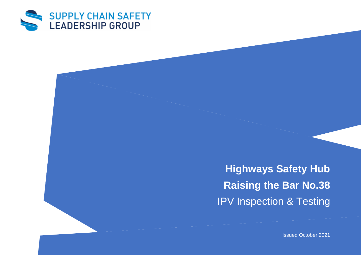

**Highways Safety Hub Raising the Bar No.38 IPV Inspection & Testing** 

Issued October 2021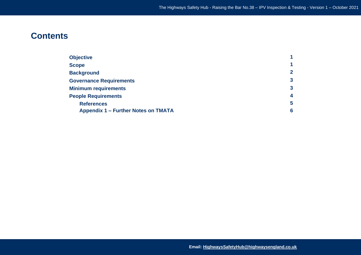# **Contents**

| <b>Objective</b>                           |                    |
|--------------------------------------------|--------------------|
| <b>Scope</b>                               |                    |
| <b>Background</b>                          | $\mathbf{2}$       |
| <b>Governance Requirements</b>             | 3                  |
| <b>Minimum requirements</b>                | 3                  |
| <b>People Requirements</b>                 | $\overline{\bf 4}$ |
| <b>References</b>                          | 5                  |
| <b>Appendix 1 – Further Notes on TMATA</b> | 6                  |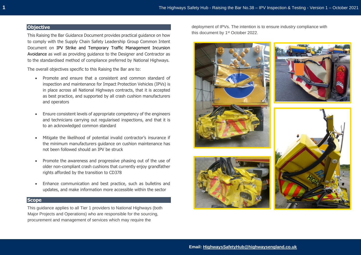# **Objective**

This Raising the Bar Guidance Document provides practical guidance on how to comply with the Supply Chain Safety Leadership Group Common Intent Document on IPV Strike and Temporary Traffic Management Incursion Avoidance as well as providing guidance to the Designer and Contractor as to the standardised method of compliance preferred by National Highways.

The overall objectives specific to this Raising the Bar are to:

- Promote and ensure that a consistent and common standard of inspection and maintenance for Impact Protection Vehicles (IPVs) is in place across all National Highways contracts, that it is accepted as best practice, and supported by all crash cushion manufacturers and operators
- Ensure consistent levels of appropriate competency of the engineers and technicians carrying out regularised inspections, and that it is to an acknowledged common standard
- Mitigate the likelihood of potential invalid contractor's insurance if the minimum manufacturers guidance on cushion maintenance has not been followed should an IPV be struck
- Promote the awareness and progressive phasing out of the use of older non-compliant crash cushions that currently enjoy grandfather rights afforded by the transition to CD378
- Enhance communication and best practice, such as bulletins and updates, and make information more accessible within the sector

# **Scope**

This guidance applies to all Tier 1 providers to National Highways (both Major Projects and Operations) who are responsible for the sourcing, procurement and management of services which may require the

deployment of IPVs. The intention is to ensure industry compliance with this document by 1st October 2022.

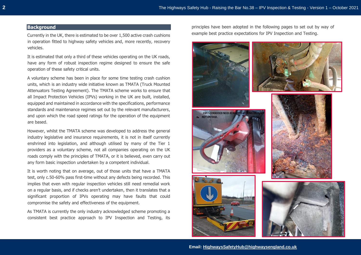## **Background**

Currently in the UK, there is estimated to be over 1,500 active crash cushions in operation fitted to highway safety vehicles and, more recently, recovery vehicles.

It is estimated that only a third of these vehicles operating on the UK roads, have any form of robust inspection regime designed to ensure the safe operation of these safety critical units.

A voluntary scheme has been in place for some time testing crash cushion units, which is an industry wide initiative known as TMATA (Truck Mounted Attenuators Testing Agreement). The TMATA scheme works to ensure that all Impact Protection Vehicles (IPVs) working in the UK are built, installed, equipped and maintained in accordance with the specifications, performance standards and maintenance regimes set out by the relevant manufacturers, and upon which the road speed ratings for the operation of the equipment are based.

However, whilst the TMATA scheme was developed to address the general industry legislative and insurance requirements, it is not in itself currently enshrined into legislation, and although utilised by many of the Tier 1 providers as a voluntary scheme, not all companies operating on the UK roads comply with the principles of TMATA, or it is believed, even carry out any form basic inspection undertaken by a competent individual.

It is worth noting that on average, out of those units that have a TMATA test, only c.50-60% pass first-time without any defects being recorded. This implies that even with regular inspection vehicles still need remedial work on a regular basis, and if checks aren't undertaken, then it translates that a significant proportion of IPVs operating may have faults that could compromise the safety and effectiveness of the equipment.

As TMATA is currently the only industry acknowledged scheme promoting a consistent best practice approach to IPV Inspection and Testing, its principles have been adopted in the following pages to set out by way of example best practice expectations for IPV Inspection and Testing.

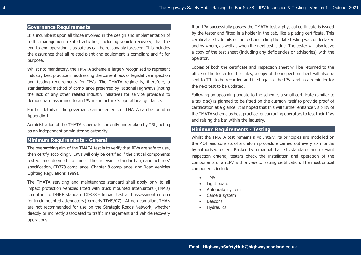# **Governance Requirements**

It is incumbent upon all those involved in the design and implementation of traffic management related activities, including vehicle recovery, that the end-to-end operation is as safe as can be reasonably foreseen. This includes the assurance that all related plant and equipment is compliant and fit for purpose.

Whilst not mandatory, the TMATA scheme is largely recognised to represent industry best practice in addressing the current lack of legislative inspection and testing requirements for IPVs. The TMATA regime is, therefore, a standardised method of compliance preferred by National Highways (noting the lack of any other related industry initiative) for service providers to demonstrate assurance to an IPV manufacturer's operational guidance.

Further details of the governance arrangements of TMATA can be found in Appendix 1.

Administration of the TMATA scheme is currently undertaken by TRL, acting as an independent administering authority.

## **Minimum Requirements - General**

The overarching aim of the TMATA test is to verify that IPVs are safe to use, then certify accordingly. IPVs will only be certified if the critical components tested are deemed to meet the relevant standards (manufacturers' specification, CD378 compliance, Chapter 8 compliance, and Road Vehicles Lighting Regulations 1989).

The TMATA servicing and maintenance standard shall apply only to all impact protection vehicles fitted with truck mounted attenuators (TMA's) compliant to DMRB standard CD378 - Impact test and assessment criteria for truck mounted attenuators (formerly TD49/07). All non-compliant TMA's are not recommended for use on the Strategic Roads Network, whether directly or indirectly associated to traffic management and vehicle recovery operations.

If an IPV successfully passes the TMATA test a physical certificate is issued by the tester and fitted in a holder in the cab, like a plating certificate. This certificate lists details of the test, including the date testing was undertaken and by whom, as well as when the next test is due. The tester will also leave a copy of the test sheet (including any deficiencies or advisories) with the operator.

Copies of both the certificate and inspection sheet will be returned to the office of the tester for their files; a copy of the inspection sheet will also be sent to TRL to be recorded and filed against the IPV, and as a reminder for the next test to be updated.

Following an upcoming update to the scheme, a small certificate (similar to a tax disc) is planned to be fitted on the cushion itself to provide proof of certification at a glance. It is hoped that this will further enhance visibility of the TMATA scheme as best practice, encouraging operators to test their IPVs and raising the bar within the industry.

## **Minimum Requirements - Testing**

Whilst the TMATA test remains a voluntary, its principles are modelled on the MOT and consists of a uniform procedure carried out every six months by authorised testers. Backed by a manual that lists standards and relevant inspection criteria, testers check the installation and operation of the components of an IPV with a view to issuing certification. The most critical components include:

- TMA
- Light board
- Autobrake system
- Camera system
- Beacons
- **Hydraulics**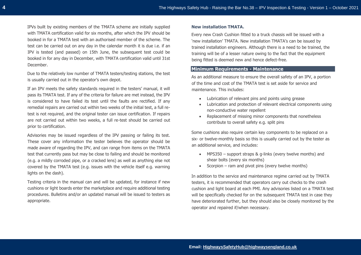IPVs built by existing members of the TMATA scheme are initially supplied with TMATA certification valid for six months, after which the IPV should be booked in for a TMATA test with an authorised member of the scheme. The test can be carried out on any day in the calendar month it is due i.e. if an IPV is tested (and passed) on 15th June, the subsequent test could be booked in for any day in December, with TMATA certification valid until 31st December.

Due to the relatively low number of TMATA testers/testing stations, the test is usually carried out in the operator's own depot.

If an IPV meets the safety standards required in the testers' manual, it will pass its TMATA test. If any of the criteria for failure are met instead, the IPV is considered to have failed its test until the faults are rectified. If any remedial repairs are carried out within two weeks of the initial test, a full retest is not required, and the original tester can issue certification. If repairs are not carried out within two weeks, a full re-test should be carried out prior to certification.

Advisories may be issued regardless of the IPV passing or failing its test. These cover any information the tester believes the operator should be made aware of regarding the IPV, and can range from items on the TMATA test that currently pass but may be close to failing and should be monitored (e.g. a mildly corroded pipe, or a cracked lens) as well as anything else not covered by the TMATA test (e.g. issues with the vehicle itself e.g. warning lights on the dash).

Testing criteria in the manual can and will be updated, for instance if new cushions or light boards enter the marketplace and require additional testing procedures. Bulletins and/or an updated manual will be issued to testers as appropriate.

#### **New installation TMATA.**

Every new Crash Cushion fitted to a truck chassis will be issued with a 'new installation' TMATA. New installation TMATA's can be issued by trained installation engineers. Although there is a need to be trained, the training will be of a lesser nature owing to the fact that the equipment being fitted is deemed new and hence defect-free.

## **Minimum Requirements - Maintenance**

As an additional measure to ensure the overall safety of an IPV, a portion of the time and cost of the TMATA test is set aside for service and maintenance. This includes:

- Lubrication of relevant pins and points using grease
- Lubrication and protection of relevant electrical components using non-conductive water repellent
- Replacement of missing minor components that nonetheless contribute to overall safety e.g. split pins

Some cushions also require certain key components to be replaced on a six- or twelve-monthly basis so this is usually carried out by the tester as an additional service, and includes:

- MPS350 support straps & g-links (every twelve months) and shear bolts (every six months)
- Scorpion ram and pivot pins (every twelve months)

In addition to the service and maintenance regime carried out by TMATA testers, it is recommended that operators carry out checks to the crash cushion and light board at each PMI. Any advisories listed on a TMATA test will be specifically checked for on the subsequent TMATA test in case they have deteriorated further, but they should also be closely monitored by the operator and repaired if/when necessary.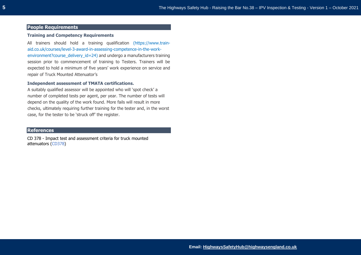## **People Requirements**

#### **Training and Competency Requirements**

All trainers should hold a training qualification [\(https://www.train](https://www.train-aid.co.uk/courses/level-3-award-in-assessing-competence-in-the-work-environment?course_delivery_id=24)[aid.co.uk/courses/level-3-award-in-assessing-competence-in-the-work](https://www.train-aid.co.uk/courses/level-3-award-in-assessing-competence-in-the-work-environment?course_delivery_id=24)[environment?course\\_delivery\\_id=24\)](https://www.train-aid.co.uk/courses/level-3-award-in-assessing-competence-in-the-work-environment?course_delivery_id=24) and undergo a manufacturers training session prior to commencement of training to Testers. Trainers will be expected to hold a minimum of five years' work experience on service and repair of Truck Mounted Attenuator's

## **Independent assessment of TMATA certifications.**

A suitably qualified assessor will be appointed who will 'spot check' a number of completed tests per agent, per year. The number of tests will depend on the quality of the work found. More fails will result in more checks, ultimately requiring further training for the tester and, in the worst case, for the tester to be 'struck off' the register.

## **References**

CD 378 - Impact test and assessment criteria for truck mounted attenuators [\(CD378\)](https://www.standardsforhighways.co.uk/prod/attachments/6e2e1dab-2d7c-4ceb-b217-fe3bf8b3afe0?inline=true)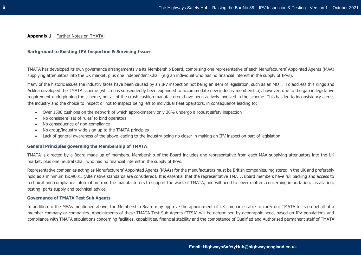## **Background to Existing IPV Inspection & Servicing Issues**

TMATA has developed its own governance arrangements via its Membership Board, comprising one representative of each Manufacturers' Appointed Agents (MAA) supplying attenuators into the UK market, plus one independent Chair (e.g an individual who has no financial interest in the supply of IPVs).

Many of the historic issues the industry faces have been caused by an IPV inspection not being an item of legislation, such as an MOT. To address this Kings and Acklea developed the TMATA scheme (which has subsequently been expanded to accommodate new industry membership), however, due to the gap in legislative requirement underpinning the scheme, not all of the crash cushion manufacturers have been actively involved in the scheme. This has led to inconsistency across the industry and the choice to inspect or not to inspect being left to individual fleet operators, in consequence leading to:

- Over 1500 cushions on the network of which approximately only 30% undergo a robust safety inspection
- No consistent 'set of rules' to bind operators
- No consequence of non-compliance
- No group/industry wide sign up to the TMATA principles
- Lack of general awareness of the above leading to the industry being no closer in making an IPV inspection part of legislation

### **General Principles governing the Membership of TMATA**

TMATA is directed by a Board made up of members. Membership of the Board includes one representative from each MAA supplying attenuators into the UK market, plus one neutral Chair who has no financial interest in the supply of IPVs.

Representative companies acting as Manufacturers' Appointed Agents (MAAs) for the manufacturers must be British companies, registered in the UK and preferably hold as a minimum ISO9001. (Alternative standards are considered). It is essential that the representative TMATA Board members have full backing and access to technical and compliance information from the manufacturers to support the work of TMATA, and will need to cover matters concerning importation, installation, testing, parts supply and technical advice.

### **Governance of TMATA Test Sub Agents**

In addition to the MAAs mentioned above, the Membership Board may approve the appointment of UK companies able to carry out TMATA tests on behalf of a member company or companies. Appointments of these TMATA Test Sub Agents (TTSA) will be determined by geographic need, based on IPV populations and compliance with TMATA stipulations concerning facilities, capabilities, financial stability and the competence of Qualified and Authorised permanent staff of TMATA